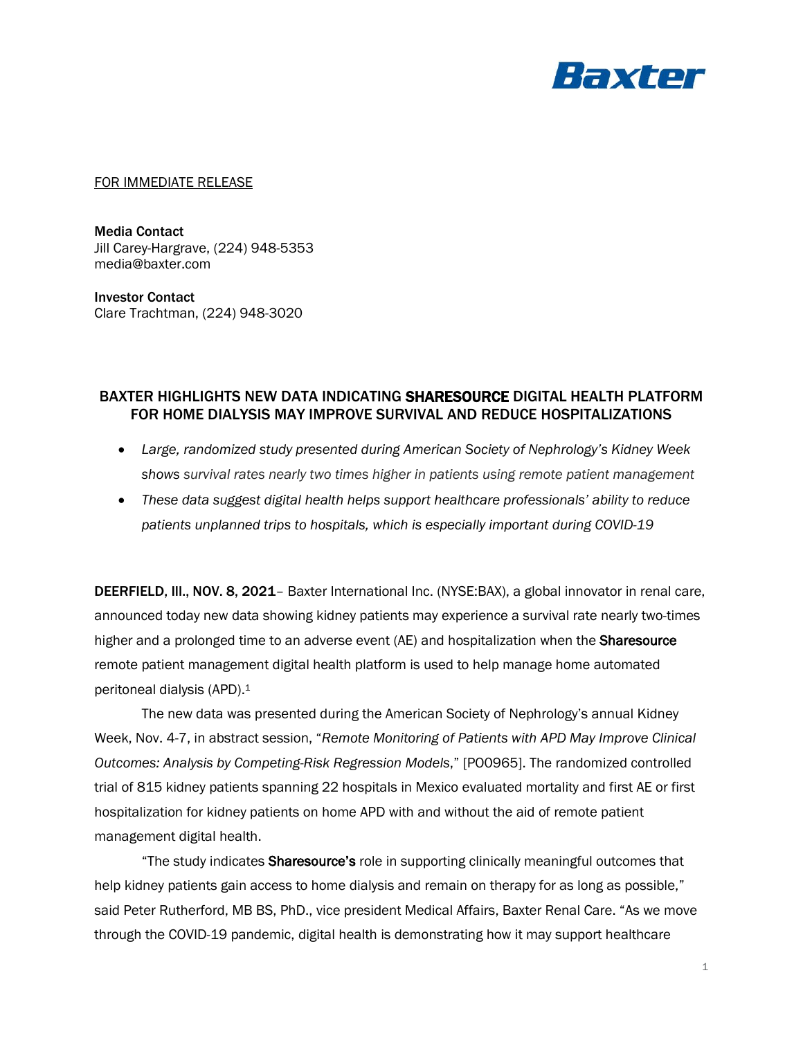

## FOR IMMEDIATE RELEASE

Media Contact Jill Carey-Hargrave, (224) 948-5353 media@baxter.com

Investor Contact Clare Trachtman, (224) 948-3020

## BAXTER HIGHLIGHTS NEW DATA INDICATING SHARESOURCE DIGITAL HEALTH PLATFORM FOR HOME DIALYSIS MAY IMPROVE SURVIVAL AND REDUCE HOSPITALIZATIONS

- *Large, randomized study presented during American Society of Nephrology's Kidney Week shows survival rates nearly two times higher in patients using remote patient management*
- *These data suggest digital health helps support healthcare professionals' ability to reduce patients unplanned trips to hospitals, which is especially important during COVID-19*

DEERFIELD, Ill., NOV. 8, 2021– Baxter International Inc. (NYSE:BAX), a global innovator in renal care, announced today new data showing kidney patients may experience a survival rate nearly two-times higher and a prolonged time to an adverse event (AE) and hospitalization when the **Sharesource** remote patient management digital health platform is used to help manage home automated peritoneal dialysis (APD). 1

The new data was presented during the American Society of Nephrology's annual Kidney Week, Nov. 4-7, in abstract session, "*Remote Monitoring of Patients with APD May Improve Clinical Outcomes: Analysis by Competing-Risk Regression Models*," [PO0965]. The randomized controlled trial of 815 kidney patients spanning 22 hospitals in Mexico evaluated mortality and first AE or first hospitalization for kidney patients on home APD with and without the aid of remote patient management digital health.

"The study indicates Sharesource's role in supporting clinically meaningful outcomes that help kidney patients gain access to home dialysis and remain on therapy for as long as possible," said Peter Rutherford, MB BS, PhD., vice president Medical Affairs, Baxter Renal Care. "As we move through the COVID-19 pandemic, digital health is demonstrating how it may support healthcare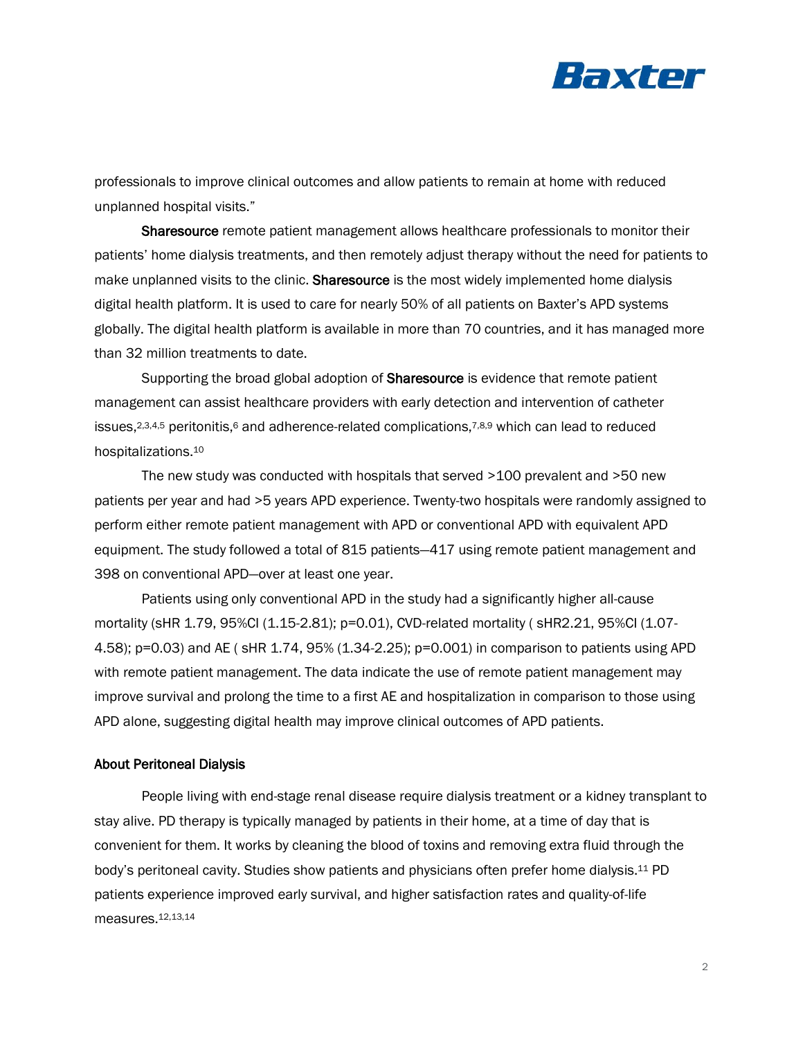

professionals to improve clinical outcomes and allow patients to remain at home with reduced unplanned hospital visits."

Sharesource remote patient management allows healthcare professionals to monitor their patients' home dialysis treatments, and then remotely adjust therapy without the need for patients to make unplanned visits to the clinic. Sharesource is the most widely implemented home dialysis digital health platform. It is used to care for nearly 50% of all patients on Baxter's APD systems globally. The digital health platform is available in more than 70 countries, and it has managed more than 32 million treatments to date.

Supporting the broad global adoption of **Sharesource** is evidence that remote patient management can assist healthcare providers with early detection and intervention of catheter issues,<sup>2,3,4,5</sup> peritonitis,<sup>6</sup> and adherence-related complications,<sup>7,8,9</sup> which can lead to reduced hospitalizations.<sup>10</sup>

The new study was conducted with hospitals that served >100 prevalent and >50 new patients per year and had >5 years APD experience. Twenty-two hospitals were randomly assigned to perform either remote patient management with APD or conventional APD with equivalent APD equipment. The study followed a total of 815 patients—417 using remote patient management and 398 on conventional APD—over at least one year.

Patients using only conventional APD in the study had a significantly higher all-cause mortality (sHR 1.79, 95%CI (1.15-2.81); p=0.01), CVD-related mortality ( sHR2.21, 95%CI (1.07- 4.58); p=0.03) and AE ( sHR 1.74, 95% (1.34-2.25); p=0.001) in comparison to patients using APD with remote patient management. The data indicate the use of remote patient management may improve survival and prolong the time to a first AE and hospitalization in comparison to those using APD alone, suggesting digital health may improve clinical outcomes of APD patients.

## About Peritoneal Dialysis

People living with end-stage renal disease require dialysis treatment or a kidney transplant to stay alive. PD therapy is typically managed by patients in their home, at a time of day that is convenient for them. It works by cleaning the blood of toxins and removing extra fluid through the body's peritoneal cavity. Studies show patients and physicians often prefer home dialysis.<sup>11</sup> PD patients experience improved early survival, and higher satisfaction rates and quality-of-life measures.12,13,14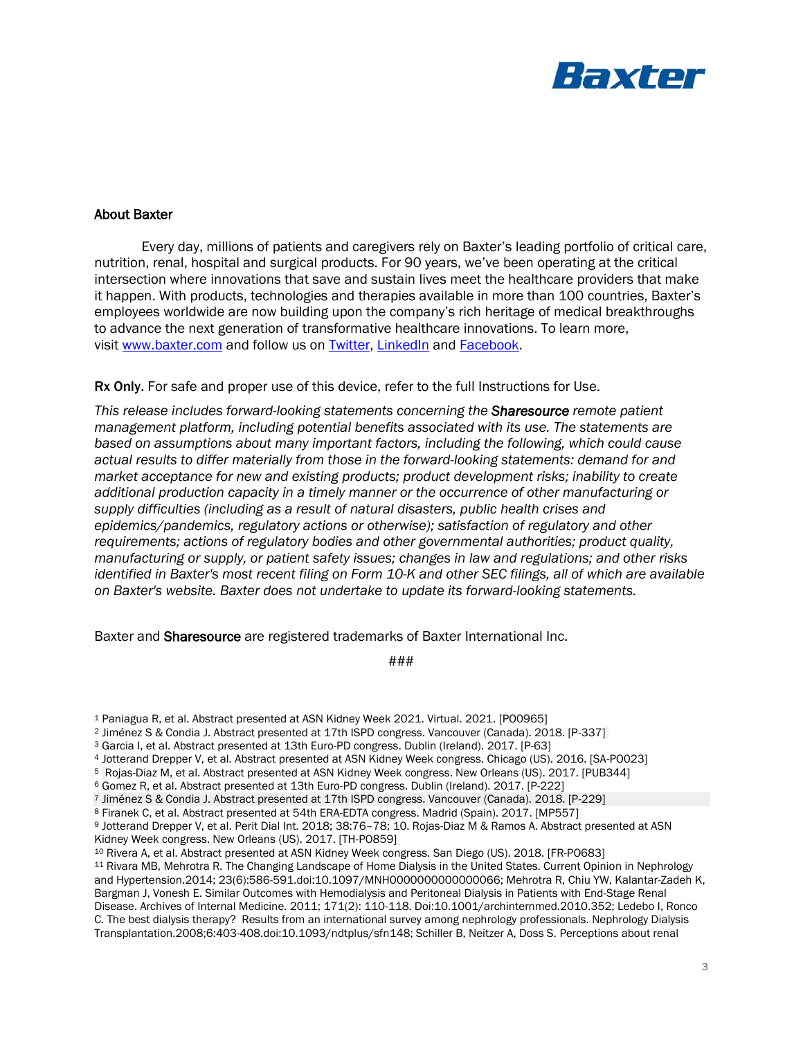

## About Baxter

Every day, millions of patients and caregivers rely on Baxter's leading portfolio of critical care, nutrition, renal, hospital and surgical products. For 90 years, we've been operating at the critical intersection where innovations that save and sustain lives meet the healthcare providers that make it happen. With products, technologies and therapies available in more than 100 countries, Baxter's employees worldwide are now building upon the company's rich heritage of medical breakthroughs to advance the next generation of transformative healthcare innovations. To learn more, visit [www.baxter.com](https://www.baxter.com/) and follow us on [Twitter,](https://twitter.com/baxter_intl?ref_src=twsrc%5Egoogle%7Ctwcamp%5Eserp%7Ctwgr%5Eauthor) [LinkedIn](https://www.linkedin.com/company/baxter-healthcare/) and [Facebook.](https://www.facebook.com/BaxterInternationalInc/)

Rx Only. For safe and proper use of this device, refer to the full Instructions for Use.

*This release includes forward-looking statements concerning the Sharesource remote patient management platform, including potential benefits associated with its use. The statements are based on assumptions about many important factors, including the following, which could cause actual results to differ materially from those in the forward-looking statements: demand for and market acceptance for new and existing products; product development risks; inability to create additional production capacity in a timely manner or the occurrence of other manufacturing or supply difficulties (including as a result of natural disasters, public health crises and epidemics/pandemics, regulatory actions or otherwise); satisfaction of regulatory and other requirements; actions of regulatory bodies and other governmental authorities; product quality, manufacturing or supply, or patient safety issues; changes in law and regulations; and other risks identified in Baxter's most recent filing on Form 10-K and other SEC filings, all of which are available on Baxter's website. Baxter does not undertake to update its forward-looking statements.* 

Baxter and Sharesource are registered trademarks of Baxter International Inc.

###

<sup>10</sup> Rivera A, et al. Abstract presented at ASN Kidney Week congress. San Diego (US). 2018. [FR-PO683]

11 Rivara MB, Mehrotra R. The Changing Landscape of Home Dialysis in the United States. Current Opinion in Nephrology and Hypertension.2014; 23(6):586-591.doi:10.1097/MNH0000000000000066; Mehrotra R, Chiu YW, Kalantar-Zadeh K, Bargman J, Vonesh E. Similar Outcomes with Hemodialysis and Peritoneal Dialysis in Patients with End-Stage Renal Disease. Archives of Internal Medicine. 2011; 171(2): 110-118. Doi:10.1001/archinternmed.2010.352; Ledebo I, Ronco C. The best dialysis therapy? Results from an international survey among nephrology professionals. Nephrology Dialysis Transplantation.2008;6:403-408.doi:10.1093/ndtplus/sfn148; Schiller B, Neitzer A, Doss S. Perceptions about renal

<sup>1</sup> Paniagua R, et al. Abstract presented at ASN Kidney Week 2021. Virtual. 2021. [PO0965]

<sup>2</sup> Jiménez S & Condia J. Abstract presented at 17th ISPD congress. Vancouver (Canada). 2018. [P-337]

<sup>3</sup> Garcia I, et al. Abstract presented at 13th Euro-PD congress. Dublin (Ireland). 2017. [P-63]

<sup>4</sup> Jotterand Drepper V, et al. Abstract presented at ASN Kidney Week congress. Chicago (US). 2016. [SA-PO023]

<sup>5</sup> Rojas-Diaz M, et al. Abstract presented at ASN Kidney Week congress. New Orleans (US). 2017. [PUB344]

<sup>6</sup> Gomez R, et al. Abstract presented at 13th Euro-PD congress. Dublin (Ireland). 2017. [P-222]

<sup>7</sup> Jiménez S & Condia J. Abstract presented at 17th ISPD congress. Vancouver (Canada). 2018. [P-229]

<sup>8</sup> Firanek C, et al. Abstract presented at 54th ERA-EDTA congress. Madrid (Spain). 2017. [MP557]

<sup>9</sup> Jotterand Drepper V, et al. Perit Dial Int. 2018; 38:76–78; 10. Rojas-Diaz M & Ramos A. Abstract presented at ASN Kidney Week congress. New Orleans (US). 2017. [TH-PO859]